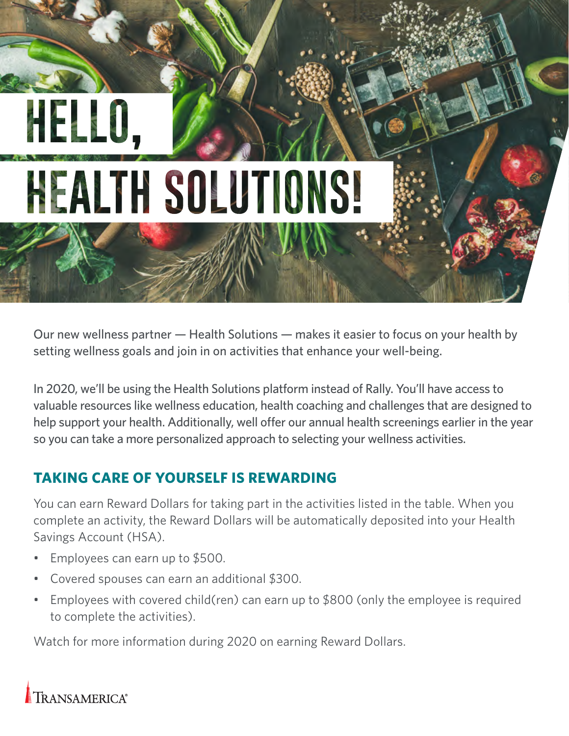# **HEALTH SOLUTIONS!**

Our new wellness partner — Health Solutions — makes it easier to focus on your health by setting wellness goals and join in on activities that enhance your well-being.

In 2020, we'll be using the Health Solutions platform instead of Rally. You'll have access to valuable resources like wellness education, health coaching and challenges that are designed to help support your health. Additionally, well offer our annual health screenings earlier in the year so you can take a more personalized approach to selecting your wellness activities.

# **TAKING CARE OF YOURSELF IS REWARDING**

You can earn Reward Dollars for taking part in the activities listed in the table. When you complete an activity, the Reward Dollars will be automatically deposited into your Health Savings Account (HSA).

- Employees can earn up to \$500.
- Covered spouses can earn an additional \$300.
- Employees with covered child(ren) can earn up to \$800 (only the employee is required to complete the activities).

Watch for more information during 2020 on earning Reward Dollars.

TRANSAMERICA®

HE.RO.